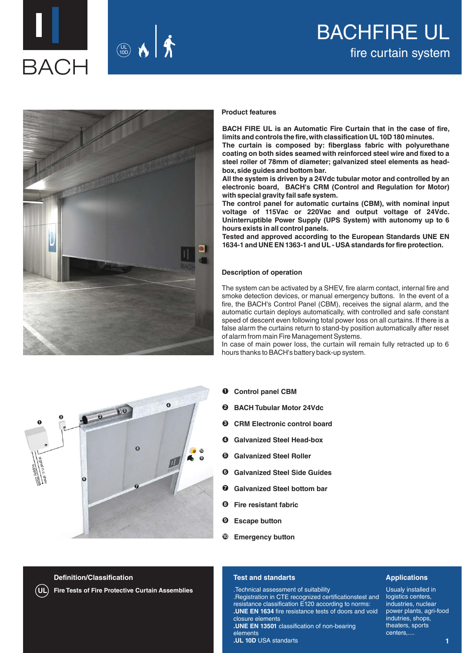



## BACHFIRE UL fire curtain system



**2** 

**4**

**9** 

**10**

**3**

signal n.c. sheve **Supply 220V** 

**1**

#### **Product features**

**BACH FIRE UL is an Automatic Fire Curtain that in the case of fire, limits and controls the fire, with classification UL 10D 180 minutes. The curtain is composed by: fiberglass fabric with polyurethane coating on both sides seamed with reinforced steel wire and fixed to a steel roller of 78mm of diameter; galvanized steel elements as head-**

**box, side guides and bottom bar. All the system is driven by a 24Vdc tubular motor and controlled by an electronic board, BACH's CRM (Control and Regulation for Motor)** 

**with special gravity fail safe system. The control panel for automatic curtains (CBM), with nominal input voltage of 115Vac or 220Vac and output voltage of 24Vdc. Uninterruptible Power Supply (UPS System) with autonomy up to 6 hours exists in all control panels.**

**Tested and approved according to the European Standards UNE EN 1634-1 and UNE EN 1363-1 and UL - USA standards for fire protection.**

#### **Description of operation**

The system can be activated by a SHEV, fire alarm contact, internal fire and smoke detection devices, or manual emergency buttons. In the event of a fire, the BACH's Control Panel (CBM), receives the signal alarm, and the automatic curtain deploys automatically, with controlled and safe constant speed of descent even following total power loss on all curtains. If there is a false alarm the curtains return to stand-by position automatically after reset of alarm from main Fire Management Systems.

In case of main power loss, the curtain will remain fully retracted up to 6 hours thanks to BACH's battery back-up system.

- **Control panel CBM 1**
- **BACH Tubular Motor 24Vdc 2**
- **CRM Electronic control board 3**
- **Galvanized Steel Head-box 4**
- **Galvanized Steel Roller 5**
- **Galvanized Steel Side Guides 6**
- **Galvanized Steel bottom bar 7**
- **Fire resistant fabric 8**
- **Escape button 9**
- **Emergency button 10**

#### **Definition/Classification**

**6**

**UL Fire Tests of Fire Protective Curtain Assemblies**

**7**

**8**

#### **Test and standarts**

.Technical assessment of suitability .Registration in CTE recognized certificationstest and resistance classification E120 according to norms: **.UNE EN 1634** fire resistance tests of doors and void closure elements **.UNE EN 13501** classification of non-bearing elements

#### **Applications**

Usualy installed in logistics centers, industries, nuclear power plants, agri-food indutries, shops, theaters, sports centers,....

**1**

**.UL 10D** USA standarts